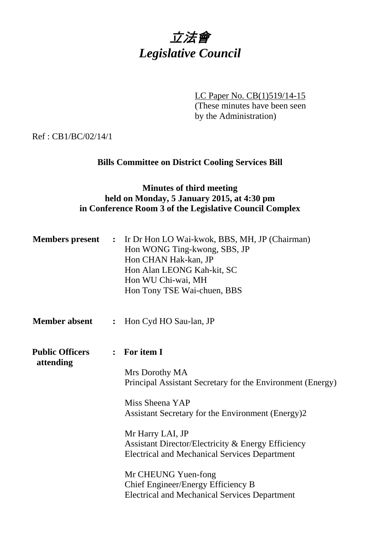

LC Paper No. CB(1)519/14-15 (These minutes have been seen by the Administration)

Ref : CB1/BC/02/14/1

# **Bills Committee on District Cooling Services Bill**

## **Minutes of third meeting held on Monday, 5 January 2015, at 4:30 pm in Conference Room 3 of the Legislative Council Complex**

| <b>Members</b> present              | $\ddot{\phantom{1}}$ | Ir Dr Hon LO Wai-kwok, BBS, MH, JP (Chairman)<br>Hon WONG Ting-kwong, SBS, JP<br>Hon CHAN Hak-kan, JP<br>Hon Alan LEONG Kah-kit, SC<br>Hon WU Chi-wai, MH<br>Hon Tony TSE Wai-chuen, BBS |
|-------------------------------------|----------------------|------------------------------------------------------------------------------------------------------------------------------------------------------------------------------------------|
| <b>Member absent</b>                | $\ddot{\cdot}$       | Hon Cyd HO Sau-lan, JP                                                                                                                                                                   |
| <b>Public Officers</b><br>attending |                      | : For item I                                                                                                                                                                             |
|                                     |                      | Mrs Dorothy MA<br>Principal Assistant Secretary for the Environment (Energy)                                                                                                             |
|                                     |                      | Miss Sheena YAP<br>Assistant Secretary for the Environment (Energy)2                                                                                                                     |
|                                     |                      | Mr Harry LAI, JP<br>Assistant Director/Electricity & Energy Efficiency<br><b>Electrical and Mechanical Services Department</b>                                                           |
|                                     |                      | Mr CHEUNG Yuen-fong<br>Chief Engineer/Energy Efficiency B<br><b>Electrical and Mechanical Services Department</b>                                                                        |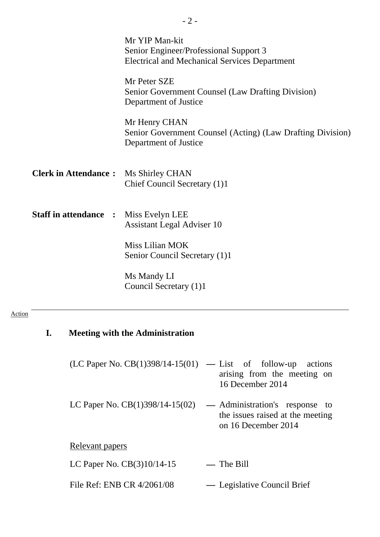|                              | Mr YIP Man-kit<br>Senior Engineer/Professional Support 3<br><b>Electrical and Mechanical Services Department</b> |
|------------------------------|------------------------------------------------------------------------------------------------------------------|
|                              | Mr Peter SZE<br>Senior Government Counsel (Law Drafting Division)<br>Department of Justice                       |
|                              | Mr Henry CHAN<br>Senior Government Counsel (Acting) (Law Drafting Division)<br>Department of Justice             |
| <b>Clerk in Attendance:</b>  | Ms Shirley CHAN<br>Chief Council Secretary (1)1                                                                  |
| <b>Staff in attendance :</b> | Miss Evelyn LEE<br><b>Assistant Legal Adviser 10</b>                                                             |
|                              | Miss Lilian MOK<br>Senior Council Secretary (1)1                                                                 |
|                              | Ms Mandy LI<br>Council Secretary (1)1                                                                            |

- 2 -

## Action

| <b>Meeting with the Administration</b>                   |                 |                                                                                           |
|----------------------------------------------------------|-----------------|-------------------------------------------------------------------------------------------|
| $(LC$ Paper No. $CB(1)398/14-15(01)$ — List of follow-up |                 | actions<br>arising from the meeting on<br>16 December 2014                                |
| LC Paper No. $CB(1)398/14-15(02)$                        |                 | — Administration's response to<br>the issues raised at the meeting<br>on 16 December 2014 |
| Relevant papers                                          |                 |                                                                                           |
| LC Paper No. $CB(3)10/14-15$                             | $\qquad \qquad$ | The Bill                                                                                  |
| File Ref: ENB CR 4/2061/08                               |                 | — Legislative Council Brief                                                               |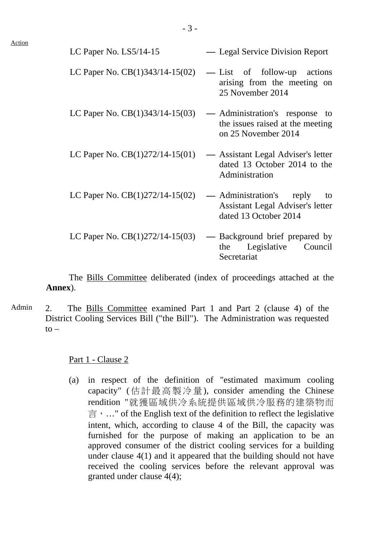| LC Paper No. LS5/14-15            | — Legal Service Division Report                                                                    |
|-----------------------------------|----------------------------------------------------------------------------------------------------|
| LC Paper No. $CB(1)343/14-15(02)$ | — List of follow-up actions<br>arising from the meeting on<br>25 November 2014                     |
| LC Paper No. $CB(1)343/14-15(03)$ | — Administration's response to<br>the issues raised at the meeting<br>on 25 November 2014          |
| LC Paper No. $CB(1)272/14-15(01)$ | — Assistant Legal Adviser's letter<br>dated 13 October 2014 to the<br>Administration               |
| LC Paper No. $CB(1)272/14-15(02)$ | — Administration's reply<br>to<br><b>Assistant Legal Adviser's letter</b><br>dated 13 October 2014 |
| LC Paper No. $CB(1)272/14-15(03)$ | — Background brief prepared by<br>the Legislative Council<br>Secretariat                           |

 The Bills Committee deliberated (index of proceedings attached at the **Annex**).

Admin 2. The Bills Committee examined Part 1 and Part 2 (clause 4) of the District Cooling Services Bill ("the Bill"). The Administration was requested  $to -$ 

Part 1 - Clause 2

(a) in respect of the definition of "estimated maximum cooling capacity" (估計最高製冷量), consider amending the Chinese rendition "就獲區域供冷系統提供區域供冷服務的建築物而  $\equiv$   $\cdot$  ..." of the English text of the definition to reflect the legislative intent, which, according to clause 4 of the Bill, the capacity was furnished for the purpose of making an application to be an approved consumer of the district cooling services for a building under clause 4(1) and it appeared that the building should not have received the cooling services before the relevant approval was granted under clause 4(4);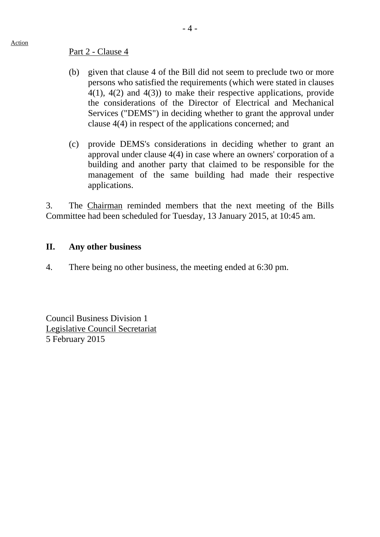#### Part 2 - Clause 4

- (b) given that clause 4 of the Bill did not seem to preclude two or more persons who satisfied the requirements (which were stated in clauses 4(1), 4(2) and 4(3)) to make their respective applications, provide the considerations of the Director of Electrical and Mechanical Services ("DEMS") in deciding whether to grant the approval under clause 4(4) in respect of the applications concerned; and
- (c) provide DEMS's considerations in deciding whether to grant an approval under clause 4(4) in case where an owners' corporation of a building and another party that claimed to be responsible for the management of the same building had made their respective applications.

3. The Chairman reminded members that the next meeting of the Bills Committee had been scheduled for Tuesday, 13 January 2015, at 10:45 am.

### **II. Any other business**

4. There being no other business, the meeting ended at 6:30 pm.

Council Business Division 1 Legislative Council Secretariat 5 February 2015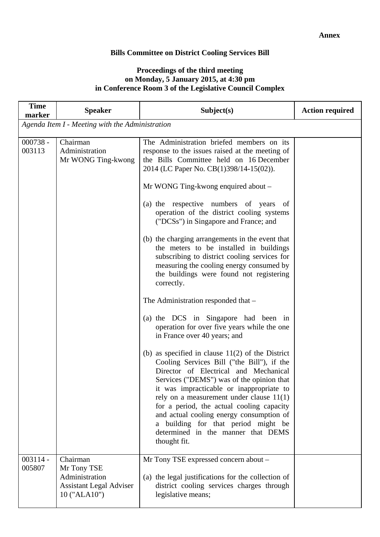#### **Bills Committee on District Cooling Services Bill**

#### **Proceedings of the third meeting on Monday, 5 January 2015, at 4:30 pm in Conference Room 3 of the Legislative Council Complex**

| <b>Time</b><br>marker | <b>Speaker</b>                                                                              | Subject(s)                                                                                                                                                                                                                                                                                                                                                                                                                                                                                                                                                                                                                                                                                                                                                                                                                                                                                                                                                                                                                                                                                                        | <b>Action required</b> |  |  |
|-----------------------|---------------------------------------------------------------------------------------------|-------------------------------------------------------------------------------------------------------------------------------------------------------------------------------------------------------------------------------------------------------------------------------------------------------------------------------------------------------------------------------------------------------------------------------------------------------------------------------------------------------------------------------------------------------------------------------------------------------------------------------------------------------------------------------------------------------------------------------------------------------------------------------------------------------------------------------------------------------------------------------------------------------------------------------------------------------------------------------------------------------------------------------------------------------------------------------------------------------------------|------------------------|--|--|
|                       | Agenda Item I - Meeting with the Administration                                             |                                                                                                                                                                                                                                                                                                                                                                                                                                                                                                                                                                                                                                                                                                                                                                                                                                                                                                                                                                                                                                                                                                                   |                        |  |  |
| $000738 -$<br>003113  | Chairman<br>Administration<br>Mr WONG Ting-kwong                                            | The Administration briefed members on its<br>response to the issues raised at the meeting of<br>the Bills Committee held on 16 December<br>2014 (LC Paper No. CB(1)398/14-15(02)).<br>Mr WONG Ting-kwong enquired about –<br>(a) the respective numbers of years<br>- of<br>operation of the district cooling systems<br>("DCSs") in Singapore and France; and<br>(b) the charging arrangements in the event that<br>the meters to be installed in buildings<br>subscribing to district cooling services for<br>measuring the cooling energy consumed by<br>the buildings were found not registering<br>correctly.<br>The Administration responded that -<br>(a) the DCS in Singapore had been in<br>operation for over five years while the one<br>in France over 40 years; and<br>(b) as specified in clause $11(2)$ of the District<br>Cooling Services Bill ("the Bill"), if the<br>Director of Electrical and Mechanical<br>Services ("DEMS") was of the opinion that<br>it was impracticable or inappropriate to<br>rely on a measurement under clause $11(1)$<br>for a period, the actual cooling capacity |                        |  |  |
|                       |                                                                                             | and actual cooling energy consumption of<br>a building for that period might be<br>determined in the manner that DEMS<br>thought fit.                                                                                                                                                                                                                                                                                                                                                                                                                                                                                                                                                                                                                                                                                                                                                                                                                                                                                                                                                                             |                        |  |  |
| $003114 -$<br>005807  | Chairman<br>Mr Tony TSE<br>Administration<br><b>Assistant Legal Adviser</b><br>10 ("ALA10") | Mr Tony TSE expressed concern about -<br>(a) the legal justifications for the collection of<br>district cooling services charges through<br>legislative means;                                                                                                                                                                                                                                                                                                                                                                                                                                                                                                                                                                                                                                                                                                                                                                                                                                                                                                                                                    |                        |  |  |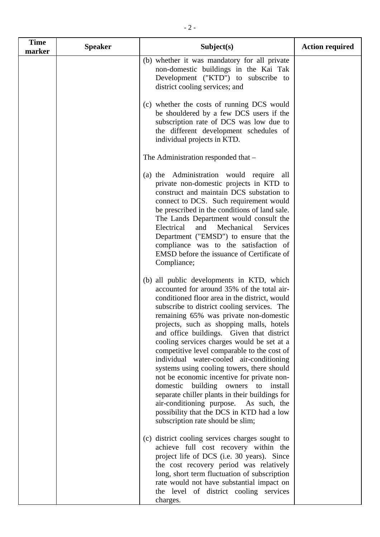| <b>Time</b><br>marker | <b>Speaker</b> | Subject(s)                                                                                                                                                                                                                                                                                                                                                                                                                                                                                                                                                                                                                                                                                                                                                                                       | <b>Action required</b> |
|-----------------------|----------------|--------------------------------------------------------------------------------------------------------------------------------------------------------------------------------------------------------------------------------------------------------------------------------------------------------------------------------------------------------------------------------------------------------------------------------------------------------------------------------------------------------------------------------------------------------------------------------------------------------------------------------------------------------------------------------------------------------------------------------------------------------------------------------------------------|------------------------|
|                       |                | (b) whether it was mandatory for all private<br>non-domestic buildings in the Kai Tak<br>Development ("KTD") to subscribe to<br>district cooling services; and                                                                                                                                                                                                                                                                                                                                                                                                                                                                                                                                                                                                                                   |                        |
|                       |                | (c) whether the costs of running DCS would<br>be shouldered by a few DCS users if the<br>subscription rate of DCS was low due to<br>the different development schedules of<br>individual projects in KTD.                                                                                                                                                                                                                                                                                                                                                                                                                                                                                                                                                                                        |                        |
|                       |                | The Administration responded that -                                                                                                                                                                                                                                                                                                                                                                                                                                                                                                                                                                                                                                                                                                                                                              |                        |
|                       |                | (a) the Administration would require<br>all<br>private non-domestic projects in KTD to<br>construct and maintain DCS substation to<br>connect to DCS. Such requirement would<br>be prescribed in the conditions of land sale.<br>The Lands Department would consult the<br>Electrical<br>and<br>Mechanical<br>Services<br>Department ("EMSD") to ensure that the<br>compliance was to the satisfaction of<br>EMSD before the issuance of Certificate of<br>Compliance;                                                                                                                                                                                                                                                                                                                           |                        |
|                       |                | (b) all public developments in KTD, which<br>accounted for around 35% of the total air-<br>conditioned floor area in the district, would<br>subscribe to district cooling services. The<br>remaining 65% was private non-domestic<br>projects, such as shopping malls, hotels<br>and office buildings. Given that district<br>cooling services charges would be set at a<br>competitive level comparable to the cost of<br>individual water-cooled air-conditioning<br>systems using cooling towers, there should<br>not be economic incentive for private non-<br>building<br>domestic<br>owners<br>to<br>install<br>separate chiller plants in their buildings for<br>air-conditioning purpose. As such, the<br>possibility that the DCS in KTD had a low<br>subscription rate should be slim; |                        |
|                       |                | (c) district cooling services charges sought to<br>achieve full cost recovery within the<br>project life of DCS (i.e. 30 years). Since<br>the cost recovery period was relatively<br>long, short term fluctuation of subscription<br>rate would not have substantial impact on<br>the level of district cooling services                                                                                                                                                                                                                                                                                                                                                                                                                                                                         |                        |

charges.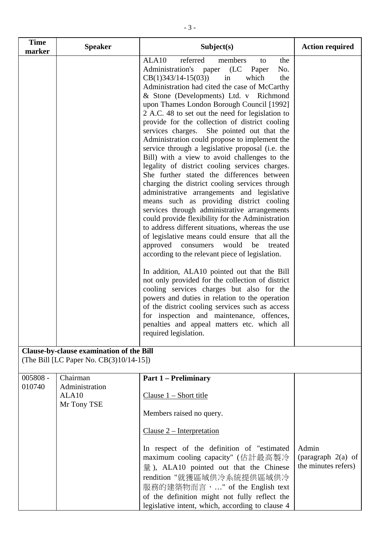| <b>Time</b><br>marker | <b>Speaker</b>                                                                      | Subject(s)                                                                                                                                                                                                                                                                                                                                                                                                                                                                                                                                                                                                                                                                                                                                                                                                                                                                                                                                                                                                                                                                                                                                                                                                                                                                                                                                                                                                                                                                                                                      | <b>Action required</b>                               |
|-----------------------|-------------------------------------------------------------------------------------|---------------------------------------------------------------------------------------------------------------------------------------------------------------------------------------------------------------------------------------------------------------------------------------------------------------------------------------------------------------------------------------------------------------------------------------------------------------------------------------------------------------------------------------------------------------------------------------------------------------------------------------------------------------------------------------------------------------------------------------------------------------------------------------------------------------------------------------------------------------------------------------------------------------------------------------------------------------------------------------------------------------------------------------------------------------------------------------------------------------------------------------------------------------------------------------------------------------------------------------------------------------------------------------------------------------------------------------------------------------------------------------------------------------------------------------------------------------------------------------------------------------------------------|------------------------------------------------------|
|                       |                                                                                     | ALA10<br>referred<br>members<br>the<br>to<br>Administration's paper (LC<br>Paper<br>No.<br>$CB(1)343/14-15(03))$<br>which<br>the<br>in<br>Administration had cited the case of McCarthy<br>& Stone (Developments) Ltd. v Richmond<br>upon Thames London Borough Council [1992]<br>2 A.C. 48 to set out the need for legislation to<br>provide for the collection of district cooling<br>services charges. She pointed out that the<br>Administration could propose to implement the<br>service through a legislative proposal (i.e. the<br>Bill) with a view to avoid challenges to the<br>legality of district cooling services charges.<br>She further stated the differences between<br>charging the district cooling services through<br>administrative arrangements and legislative<br>means such as providing district cooling<br>services through administrative arrangements<br>could provide flexibility for the Administration<br>to address different situations, whereas the use<br>of legislative means could ensure that all the<br>approved<br>would<br>be<br>consumers<br>treated<br>according to the relevant piece of legislation.<br>In addition, ALA10 pointed out that the Bill<br>not only provided for the collection of district<br>cooling services charges but also for the<br>powers and duties in relation to the operation<br>of the district cooling services such as access<br>for inspection and maintenance, offences,<br>penalties and appeal matters etc. which all<br>required legislation. |                                                      |
|                       | Clause-by-clause examination of the Bill<br>(The Bill [LC Paper No. CB(3)10/14-15]) |                                                                                                                                                                                                                                                                                                                                                                                                                                                                                                                                                                                                                                                                                                                                                                                                                                                                                                                                                                                                                                                                                                                                                                                                                                                                                                                                                                                                                                                                                                                                 |                                                      |
| $005808 -$<br>010740  | Chairman<br>Administration<br>ALA <sub>10</sub><br>Mr Tony TSE                      | <b>Part 1 – Preliminary</b><br>Clause $1 -$ Short title<br>Members raised no query.<br>$Clause 2 - Interpretation$<br>In respect of the definition of "estimated"<br>maximum cooling capacity" (估計最高製冷<br>$\frac{1}{2}$ ), ALA10 pointed out that the Chinese<br>rendition "就獲區域供冷系統提供區域供冷<br>服務的建築物而言," of the English text<br>of the definition might not fully reflect the<br>legislative intent, which, according to clause 4                                                                                                                                                                                                                                                                                                                                                                                                                                                                                                                                                                                                                                                                                                                                                                                                                                                                                                                                                                                                                                                                                               | Admin<br>(paragraph $2(a)$ of<br>the minutes refers) |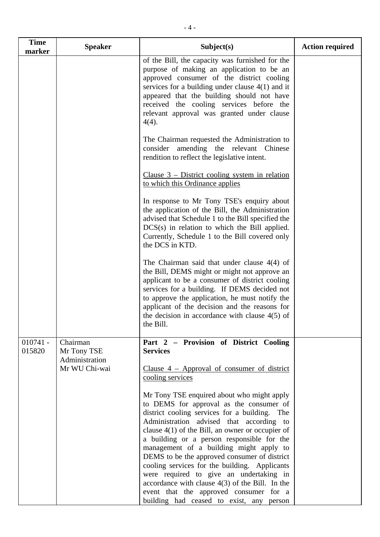| <b>Time</b><br>marker | <b>Speaker</b>                            | Subject(s)                                                                                                                                                                                                                                                                                                                                                                                                                                                                                                                                                                                                                  | <b>Action required</b> |
|-----------------------|-------------------------------------------|-----------------------------------------------------------------------------------------------------------------------------------------------------------------------------------------------------------------------------------------------------------------------------------------------------------------------------------------------------------------------------------------------------------------------------------------------------------------------------------------------------------------------------------------------------------------------------------------------------------------------------|------------------------|
|                       |                                           | of the Bill, the capacity was furnished for the<br>purpose of making an application to be an<br>approved consumer of the district cooling<br>services for a building under clause $4(1)$ and it<br>appeared that the building should not have<br>received the cooling services before the<br>relevant approval was granted under clause<br>$4(4)$ .                                                                                                                                                                                                                                                                         |                        |
|                       |                                           | The Chairman requested the Administration to<br>consider amending the relevant Chinese<br>rendition to reflect the legislative intent.                                                                                                                                                                                                                                                                                                                                                                                                                                                                                      |                        |
|                       |                                           | Clause $3$ – District cooling system in relation<br>to which this Ordinance applies                                                                                                                                                                                                                                                                                                                                                                                                                                                                                                                                         |                        |
|                       |                                           | In response to Mr Tony TSE's enquiry about<br>the application of the Bill, the Administration<br>advised that Schedule 1 to the Bill specified the<br>$DCS(s)$ in relation to which the Bill applied.<br>Currently, Schedule 1 to the Bill covered only<br>the DCS in KTD.                                                                                                                                                                                                                                                                                                                                                  |                        |
|                       |                                           | The Chairman said that under clause $4(4)$ of<br>the Bill, DEMS might or might not approve an<br>applicant to be a consumer of district cooling<br>services for a building. If DEMS decided not<br>to approve the application, he must notify the<br>applicant of the decision and the reasons for<br>the decision in accordance with clause $4(5)$ of<br>the Bill.                                                                                                                                                                                                                                                         |                        |
| $010741 -$<br>015820  | Chairman<br>Mr Tony TSE<br>Administration | Part 2 - Provision of District Cooling<br><b>Services</b>                                                                                                                                                                                                                                                                                                                                                                                                                                                                                                                                                                   |                        |
|                       | Mr WU Chi-wai                             | Clause $4$ – Approval of consumer of district<br>cooling services                                                                                                                                                                                                                                                                                                                                                                                                                                                                                                                                                           |                        |
|                       |                                           | Mr Tony TSE enquired about who might apply<br>to DEMS for approval as the consumer of<br>district cooling services for a building. The<br>Administration advised that according to<br>clause $4(1)$ of the Bill, an owner or occupier of<br>a building or a person responsible for the<br>management of a building might apply to<br>DEMS to be the approved consumer of district<br>cooling services for the building. Applicants<br>were required to give an undertaking in<br>accordance with clause $4(3)$ of the Bill. In the<br>event that the approved consumer for a<br>building had ceased to exist, any<br>person |                        |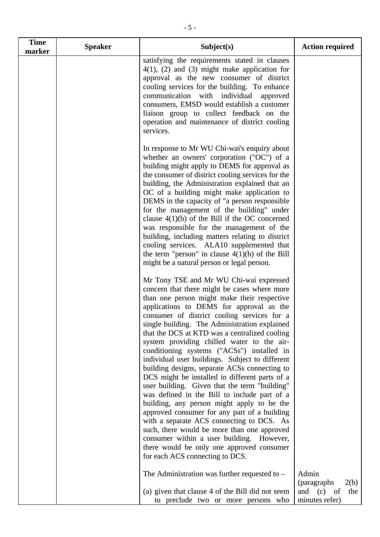| <b>Time</b> | <b>Speaker</b> | Subject(s)                                                                                                                                                                                                                                                                                                                                                                                                                                                                                                                                                                                                                                                                                                                                                                                                                                                                                                                                                                                                    | <b>Action required</b>                                                 |
|-------------|----------------|---------------------------------------------------------------------------------------------------------------------------------------------------------------------------------------------------------------------------------------------------------------------------------------------------------------------------------------------------------------------------------------------------------------------------------------------------------------------------------------------------------------------------------------------------------------------------------------------------------------------------------------------------------------------------------------------------------------------------------------------------------------------------------------------------------------------------------------------------------------------------------------------------------------------------------------------------------------------------------------------------------------|------------------------------------------------------------------------|
| marker      |                | satisfying the requirements stated in clauses<br>$4(1)$ , (2) and (3) might make application for<br>approval as the new consumer of district<br>cooling services for the building. To enhance<br>communication with individual approved<br>consumers, EMSD would establish a customer<br>liaison group to collect feedback on the<br>operation and maintenance of district cooling<br>services.                                                                                                                                                                                                                                                                                                                                                                                                                                                                                                                                                                                                               |                                                                        |
|             |                | In response to Mr WU Chi-wai's enquiry about<br>whether an owners' corporation ("OC") of a<br>building might apply to DEMS for approval as<br>the consumer of district cooling services for the<br>building, the Administration explained that an<br>OC of a building might make application to<br>DEMS in the capacity of "a person responsible"<br>for the management of the building" under<br>clause $4(1)(b)$ of the Bill if the OC concerned<br>was responsible for the management of the<br>building, including matters relating to district<br>cooling services. ALA10 supplemented that<br>the term "person" in clause $4(1)(b)$ of the Bill<br>might be a natural person or legal person.                                                                                                                                                                                                                                                                                                           |                                                                        |
|             |                | Mr Tony TSE and Mr WU Chi-wai expressed<br>concern that there might be cases where more<br>than one person might make their respective<br>applications to DEMS for approval as the<br>consumer of district cooling services for a<br>single building. The Administration explained<br>that the DCS at KTD was a centralized cooling<br>system providing chilled water to the air-<br>conditioning systems ("ACSs") installed in<br>individual user buildings. Subject to different<br>building designs, separate ACSs connecting to<br>DCS might be installed in different parts of a<br>user building. Given that the term "building"<br>was defined in the Bill to include part of a<br>building, any person might apply to be the<br>approved consumer for any part of a building<br>with a separate ACS connecting to DCS. As<br>such, there would be more than one approved<br>consumer within a user building. However,<br>there would be only one approved consumer<br>for each ACS connecting to DCS. |                                                                        |
|             |                | The Administration was further requested to $-$<br>(a) given that clause 4 of the Bill did not seem<br>to preclude two or more persons who                                                                                                                                                                                                                                                                                                                                                                                                                                                                                                                                                                                                                                                                                                                                                                                                                                                                    | Admin<br>(paragraphs)<br>2(b)<br>and $(c)$ of<br>the<br>minutes refer) |